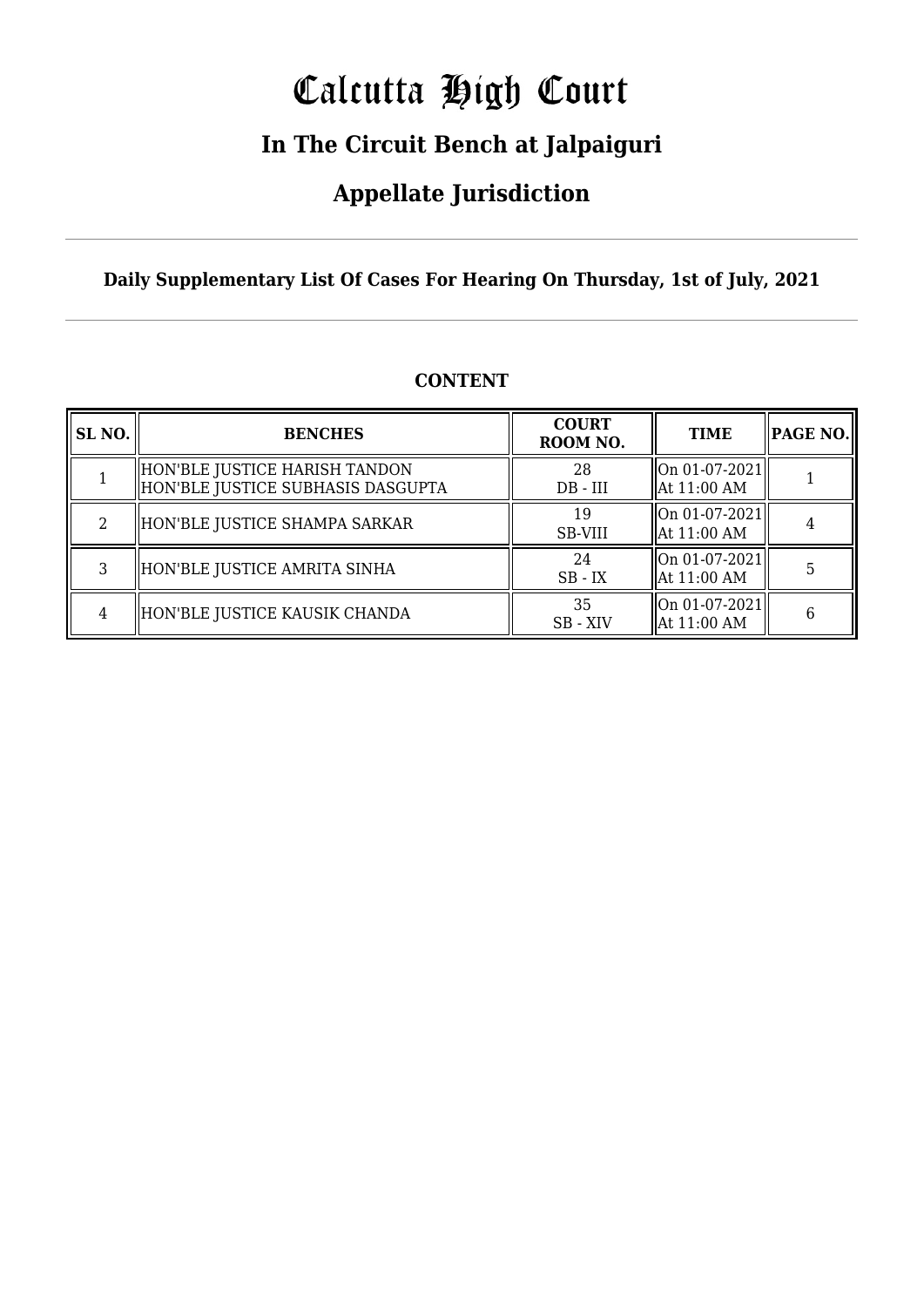# Calcutta High Court

### **In The Circuit Bench at Jalpaiguri**

### **Appellate Jurisdiction**

#### **Daily Supplementary List Of Cases For Hearing On Thursday, 1st of July, 2021**

| SL <sub>NO.</sub> | <b>BENCHES</b>                                                       | <b>COURT</b><br>ROOM NO. | <b>TIME</b>                                             | PAGE NO. |
|-------------------|----------------------------------------------------------------------|--------------------------|---------------------------------------------------------|----------|
|                   | HON'BLE JUSTICE HARISH TANDON<br>  HON'BLE JUSTICE SUBHASIS DASGUPTA | 28<br>$DB$ - $III$       | $ On 01-07-2021$<br>  At 11:00 AM                       |          |
| 2                 | HON'BLE JUSTICE SHAMPA SARKAR                                        | 19<br>SB-VIII            | On 01-07-2021  <br>  At 11:00 AM                        |          |
| 3                 | HON'BLE JUSTICE AMRITA SINHA                                         | 24<br>$SB$ - $IX$        | $\left\Vert 0n\ 01-07-2021\right\Vert$<br>  At 11:00 AM |          |
| 4                 | HON'BLE JUSTICE KAUSIK CHANDA                                        | 35<br>SB - XIV           | $ On 01-07-2021$<br>  At 11:00 AM                       | 6        |

#### **CONTENT**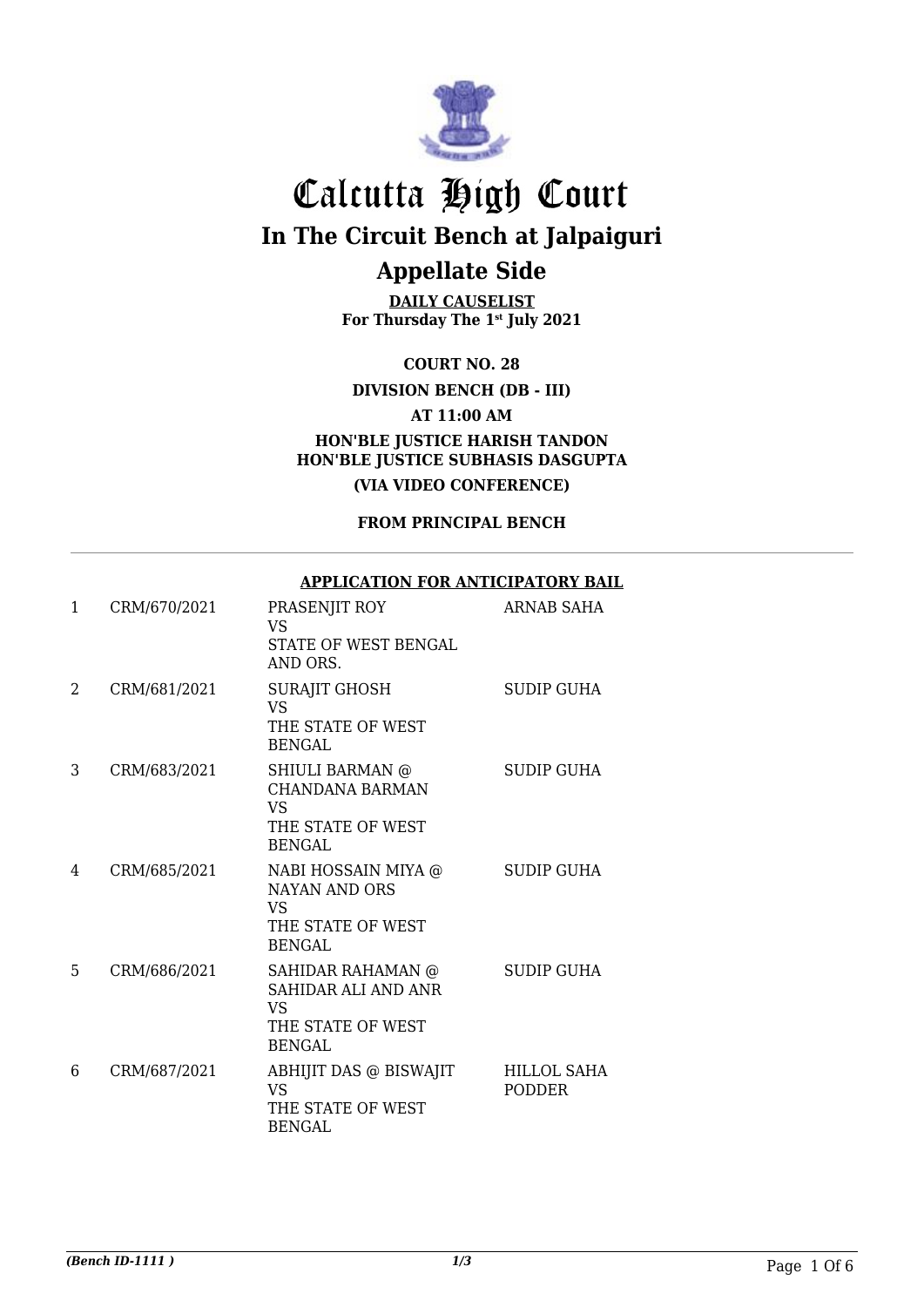

**DAILY CAUSELIST For Thursday The 1st July 2021**

**COURT NO. 28**

**DIVISION BENCH (DB - III)**

**AT 11:00 AM**

**HON'BLE JUSTICE HARISH TANDON HON'BLE JUSTICE SUBHASIS DASGUPTA (VIA VIDEO CONFERENCE)**

**FROM PRINCIPAL BENCH**

#### **APPLICATION FOR ANTICIPATORY BAIL**

| $\mathbf{1}$ | CRM/670/2021 | PRASENJIT ROY<br>VS<br><b>STATE OF WEST BENGAL</b><br>AND ORS.                        | ARNAB SAHA            |
|--------------|--------------|---------------------------------------------------------------------------------------|-----------------------|
| 2            | CRM/681/2021 | <b>SURAJIT GHOSH</b><br><b>VS</b><br>THE STATE OF WEST<br><b>BENGAL</b>               | <b>SUDIP GUHA</b>     |
| 3            | CRM/683/2021 | SHIULI BARMAN @<br>CHANDANA BARMAN<br><b>VS</b><br>THE STATE OF WEST<br><b>BENGAL</b> | <b>SUDIP GUHA</b>     |
| 4            | CRM/685/2021 | NABI HOSSAIN MIYA @<br>NAYAN AND ORS<br>VS<br>THE STATE OF WEST<br><b>BENGAL</b>      | <b>SUDIP GUHA</b>     |
| 5            | CRM/686/2021 | SAHIDAR RAHAMAN @<br>SAHIDAR ALI AND ANR<br>VS<br>THE STATE OF WEST<br><b>BENGAL</b>  | <b>SUDIP GUHA</b>     |
| 6            | CRM/687/2021 | ABHIJIT DAS @ BISWAJIT<br>VS<br>THE STATE OF WEST<br><b>BENGAL</b>                    | HILLOL SAHA<br>PODDER |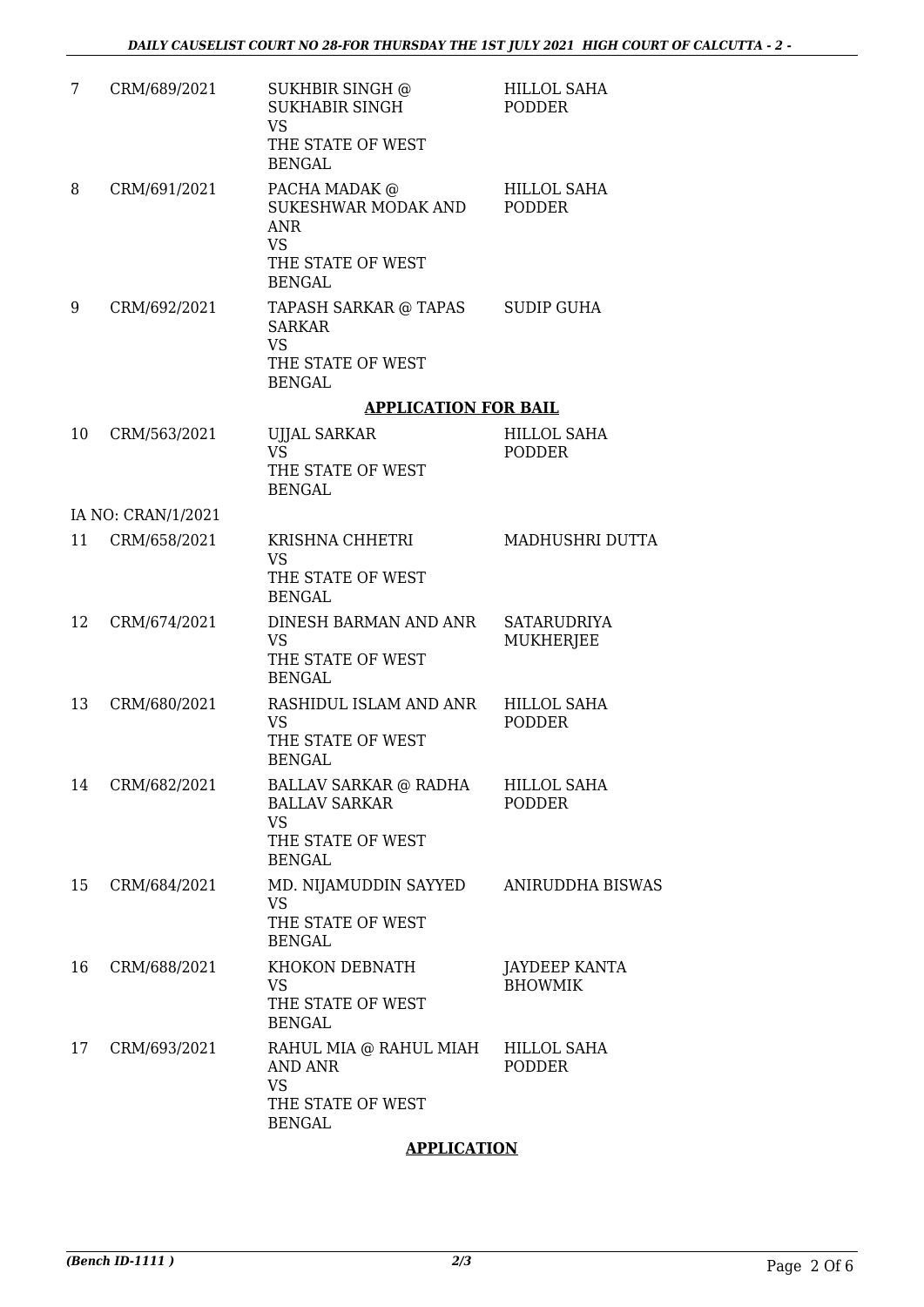| 7  | CRM/689/2021       | SUKHBIR SINGH @<br><b>SUKHABIR SINGH</b><br><b>VS</b><br>THE STATE OF WEST                | <b>HILLOL SAHA</b><br><b>PODDER</b> |
|----|--------------------|-------------------------------------------------------------------------------------------|-------------------------------------|
| 8  | CRM/691/2021       | <b>BENGAL</b><br>PACHA MADAK @<br>SUKESHWAR MODAK AND<br><b>ANR</b><br><b>VS</b>          | HILLOL SAHA<br><b>PODDER</b>        |
|    |                    | THE STATE OF WEST<br><b>BENGAL</b>                                                        |                                     |
| 9  | CRM/692/2021       | TAPASH SARKAR @ TAPAS<br><b>SARKAR</b><br><b>VS</b><br>THE STATE OF WEST<br><b>BENGAL</b> | <b>SUDIP GUHA</b>                   |
|    |                    | <b>APPLICATION FOR BAIL</b>                                                               |                                     |
| 10 | CRM/563/2021       | <b>UJJAL SARKAR</b><br><b>VS</b><br>THE STATE OF WEST<br><b>BENGAL</b>                    | <b>HILLOL SAHA</b><br><b>PODDER</b> |
|    | IA NO: CRAN/1/2021 |                                                                                           |                                     |
| 11 | CRM/658/2021       | KRISHNA CHHETRI<br><b>VS</b><br>THE STATE OF WEST<br><b>BENGAL</b>                        | MADHUSHRI DUTTA                     |
| 12 | CRM/674/2021       | DINESH BARMAN AND ANR<br><b>VS</b><br>THE STATE OF WEST<br><b>BENGAL</b>                  | SATARUDRIYA<br>MUKHERJEE            |
| 13 | CRM/680/2021       | RASHIDUL ISLAM AND ANR<br><b>VS</b><br>THE STATE OF WEST<br><b>BENGAL</b>                 | <b>HILLOL SAHA</b><br>PODDER        |
| 14 | CRM/682/2021       | BALLAV SARKAR @ RADHA<br><b>BALLAV SARKAR</b><br><b>VS</b><br>THE STATE OF WEST           | HILLOL SAHA<br><b>PODDER</b>        |
| 15 | CRM/684/2021       | <b>BENGAL</b><br>MD. NIJAMUDDIN SAYYED<br><b>VS</b><br>THE STATE OF WEST<br><b>BENGAL</b> | <b>ANIRUDDHA BISWAS</b>             |
| 16 | CRM/688/2021       | KHOKON DEBNATH<br><b>VS</b><br>THE STATE OF WEST<br><b>BENGAL</b>                         | JAYDEEP KANTA<br><b>BHOWMIK</b>     |
| 17 | CRM/693/2021       | RAHUL MIA @ RAHUL MIAH<br>AND ANR<br><b>VS</b><br>THE STATE OF WEST<br><b>BENGAL</b>      | HILLOL SAHA<br><b>PODDER</b>        |

#### **APPLICATION**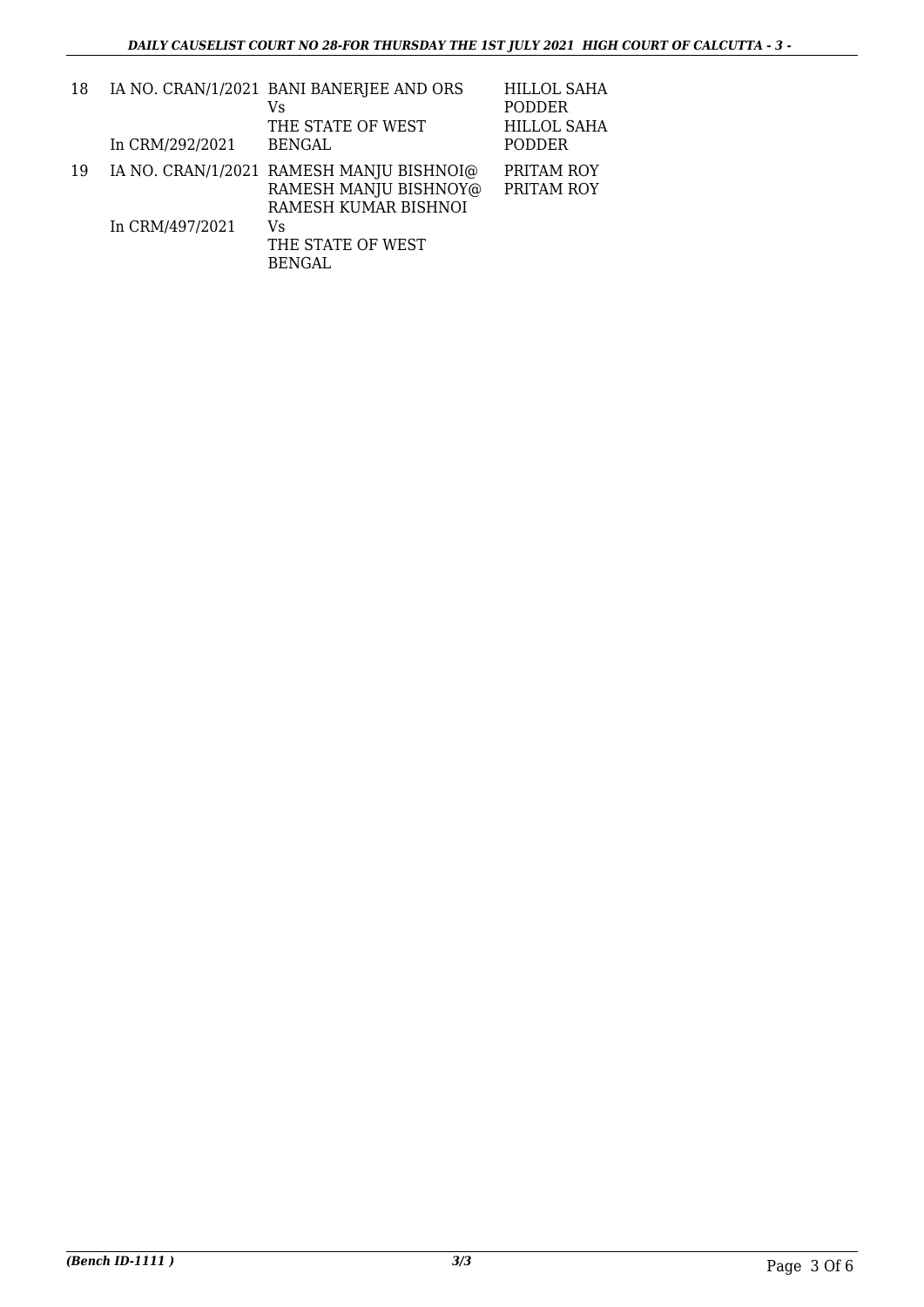| 18 |                 | IA NO. CRAN/1/2021 BANI BANERJEE AND ORS<br>Vs                                            | <b>HILLOL SAHA</b><br>PODDER |
|----|-----------------|-------------------------------------------------------------------------------------------|------------------------------|
|    |                 | THE STATE OF WEST                                                                         | HILLOL SAHA                  |
|    | In CRM/292/2021 | <b>BENGAL</b>                                                                             | PODDER                       |
| 19 |                 | IA NO. CRAN/1/2021 RAMESH MANJU BISHNOI@<br>RAMESH MANJU BISHNOY@<br>RAMESH KUMAR BISHNOI | PRITAM ROY<br>PRITAM ROY     |
|    | In CRM/497/2021 | Vs<br>THE STATE OF WEST<br><b>BENGAL</b>                                                  |                              |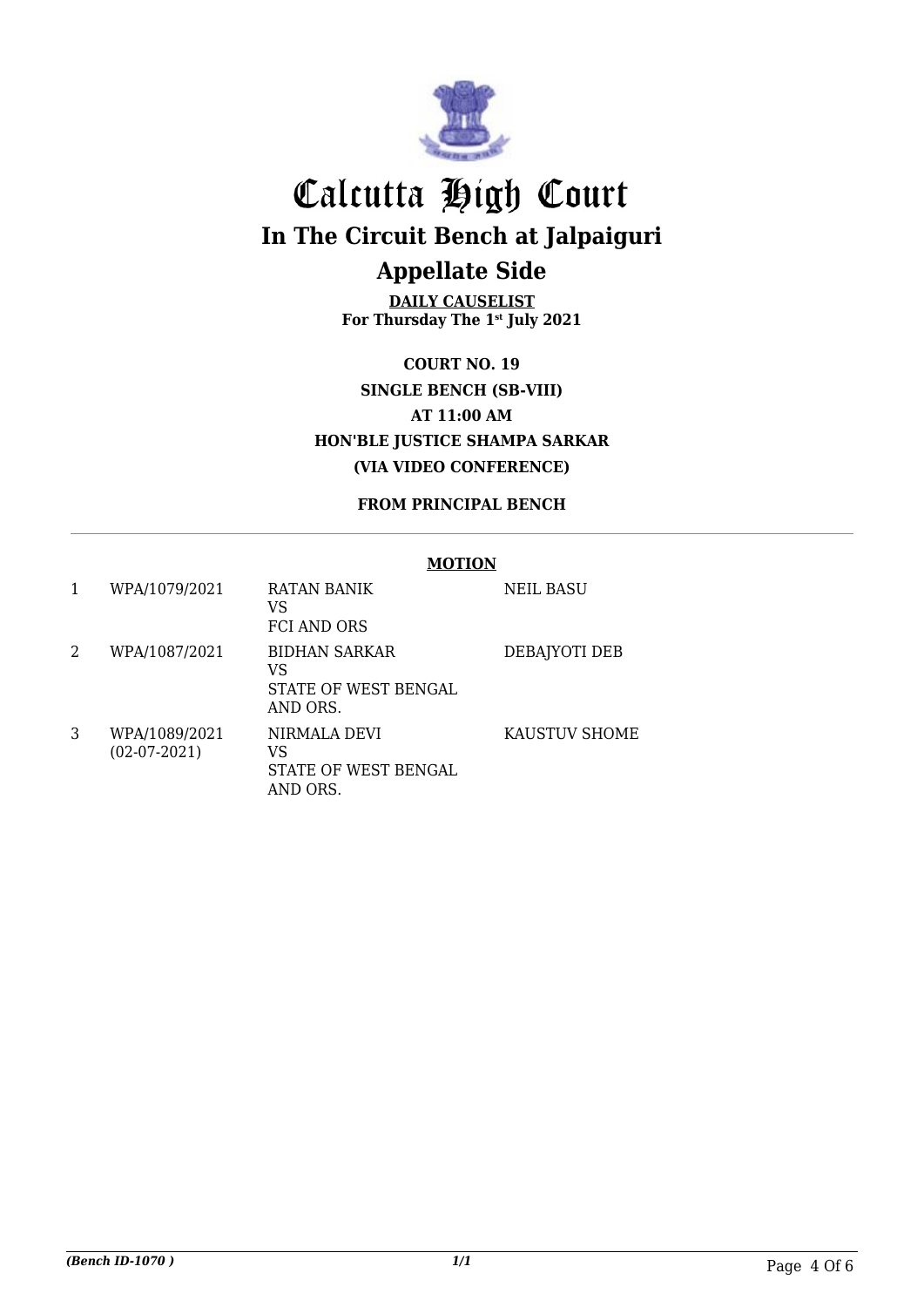

**DAILY CAUSELIST For Thursday The 1st July 2021**

**COURT NO. 19 SINGLE BENCH (SB-VIII) AT 11:00 AM HON'BLE JUSTICE SHAMPA SARKAR (VIA VIDEO CONFERENCE)**

**FROM PRINCIPAL BENCH**

#### **MOTION** 1 WPA/1079/2021 RATAN BANIK VS FCI AND ORS NEIL BASU 2 WPA/1087/2021 BIDHAN SARKAR VS STATE OF WEST BENGAL AND ORS. DEBAJYOTI DEB 3 WPA/1089/2021 (02-07-2021) NIRMALA DEVI VS STATE OF WEST BENGAL AND ORS. KAUSTUV SHOME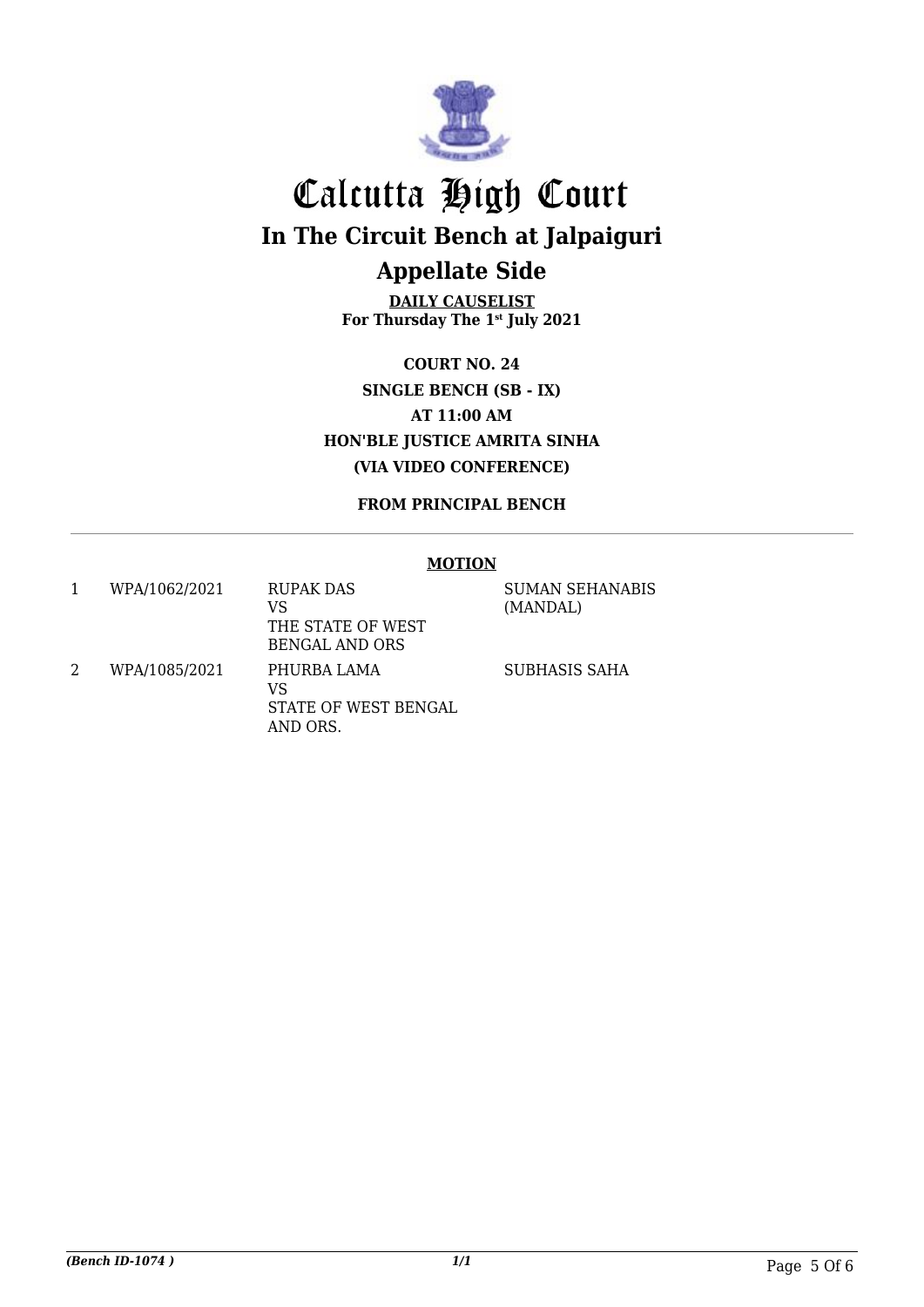

**DAILY CAUSELIST For Thursday The 1st July 2021**

**COURT NO. 24 SINGLE BENCH (SB - IX) AT 11:00 AM HON'BLE JUSTICE AMRITA SINHA (VIA VIDEO CONFERENCE)**

**FROM PRINCIPAL BENCH**

#### **MOTION**

| WPA/1062/2021 | <b>RUPAK DAS</b><br>VS<br>THE STATE OF WEST<br><b>BENGAL AND ORS</b> | <b>SUMAN SEHANABIS</b><br>(MANDAL) |
|---------------|----------------------------------------------------------------------|------------------------------------|
| WPA/1085/2021 | PHURBA LAMA<br>VS<br>STATE OF WEST BENGAL<br>AND ORS.                | SUBHASIS SAHA                      |